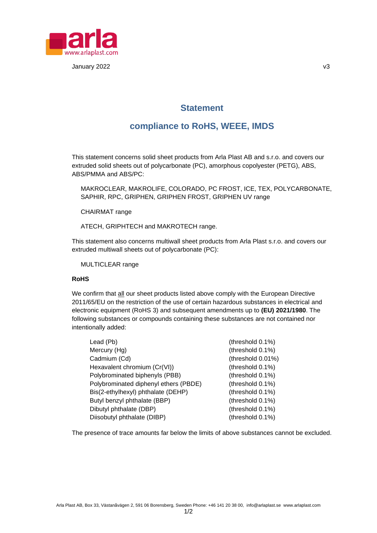

January 2022 v3

## **Statement**

# **compliance to RoHS, WEEE, IMDS**

This statement concerns solid sheet products from Arla Plast AB and s.r.o. and covers our extruded solid sheets out of polycarbonate (PC), amorphous copolyester (PETG), ABS, ABS/PMMA and ABS/PC:

MAKROCLEAR, MAKROLIFE, COLORADO, PC FROST, ICE, TEX, POLYCARBONATE, SAPHIR, RPC, GRIPHEN, GRIPHEN FROST, GRIPHEN UV range

CHAIRMAT range

ATECH, GRIPHTECH and MAKROTECH range.

This statement also concerns multiwall sheet products from Arla Plast s.r.o. and covers our extruded multiwall sheets out of polycarbonate (PC):

MULTICLEAR range

#### **RoHS**

We confirm that all our sheet products listed above comply with the European Directive 2011/65/EU on the restriction of the use of certain hazardous substances in electrical and electronic equipment (RoHS 3) and subsequent amendments up to **(EU) 2021/1980**. The following substances or compounds containing these substances are not contained nor intentionally added:

| Lead (Pb)                             | (threshold 0.1%)  |
|---------------------------------------|-------------------|
| Mercury (Hg)                          | (threshold 0.1%)  |
| Cadmium (Cd)                          | (threshold 0.01%) |
| Hexavalent chromium (Cr(VI))          | (threshold 0.1%)  |
| Polybrominated biphenyls (PBB)        | (threshold 0.1%)  |
| Polybrominated diphenyl ethers (PBDE) | (threshold 0.1%)  |
| Bis(2-ethylhexyl) phthalate (DEHP)    | (threshold 0.1%)  |
| Butyl benzyl phthalate (BBP)          | (threshold 0.1%)  |
| Dibutyl phthalate (DBP)               | (threshold 0.1%)  |
| Diisobutyl phthalate (DIBP)           | (threshold 0.1%)  |

The presence of trace amounts far below the limits of above substances cannot be excluded.